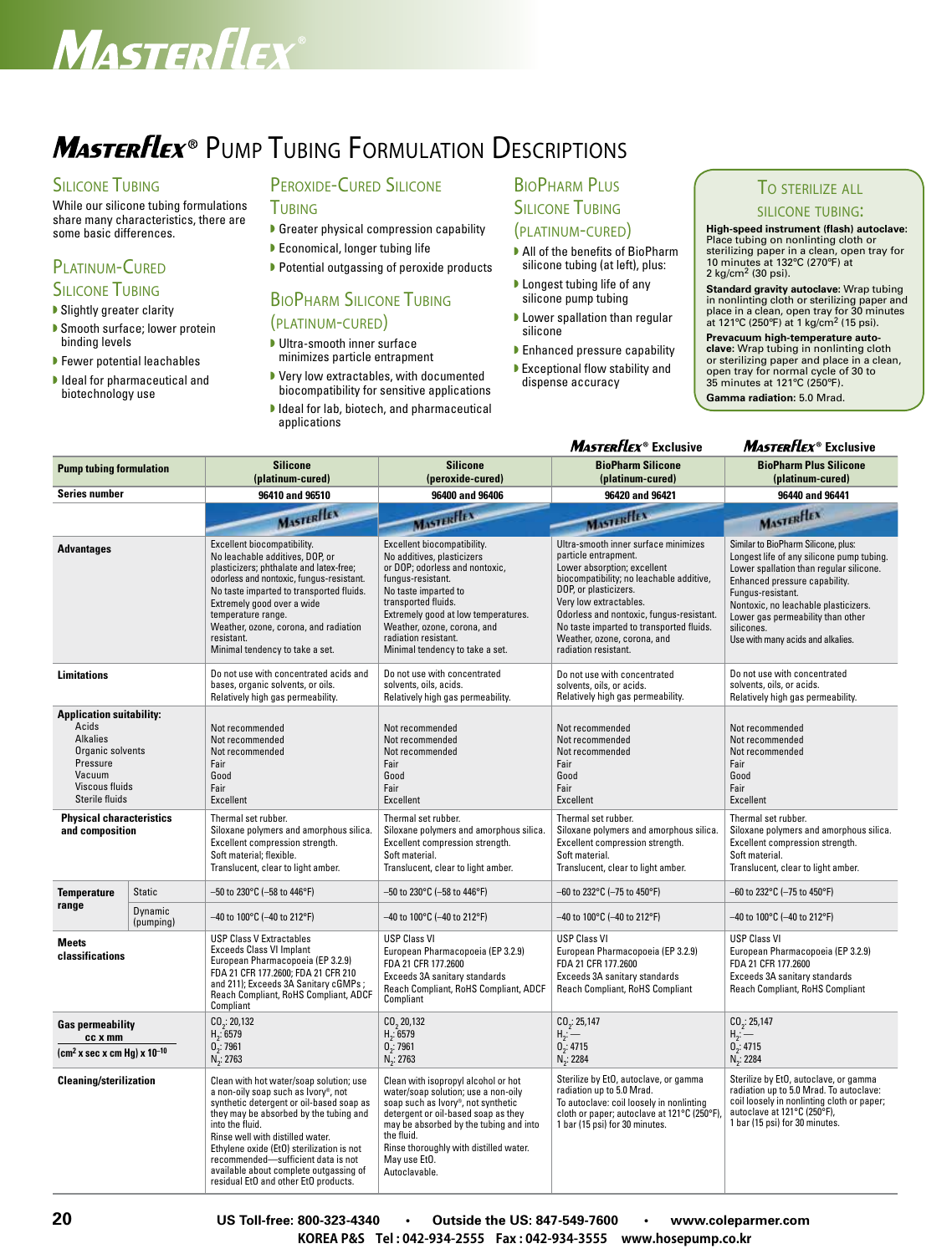## Masterflex

## **MasterFlex**® Pump Tubing Formulation Descriptions

#### **SILICONE TUBING**

While our silicone tubing formulations share many characteristics, there are some basic differences.

#### PI ATINUM-CURED **SILICONE TUBING**

#### ▶ Slightly greater clarity

- Smooth surface; lower protein binding levels
- $\blacktriangleright$  Fewer potential leachables
- $\blacktriangleright$  Ideal for pharmaceutical and biotechnology use

#### PEROXIDE-CURED SILICONE

- **TUBING** Greater physical compression capability
- **D** Economical, longer tubing life
- $\blacktriangleright$  Potential outgassing of peroxide products

### BioPharm Silicone Tubing

#### (platinum-cured)

- **Ultra-smooth inner surface** minimizes particle entrapment
- Very low extractables, with documented biocompatibility for sensitive applications
- I Ideal for lab, biotech, and pharmaceutical applications

#### BioPharm Plus **SILICONE TUBING** (platinum-cured)

- All of the benefits of BioPharm silicone tubing (at left), plus:
- $\blacktriangleright$  Longest tubing life of any silicone pump tubing
- $\blacktriangleright$  Lower spallation than regular silicone
- **Enhanced pressure capability**
- w Exceptional flow stability and dispense accuracy

#### To sterilize all

#### silicone tubing:

**High-speed instrument (flash) autoclave:** Place tubing on nonlinting cloth or sterilizing paper in a clean, open tray for 10 minutes at 132ºC (270ºF) at 2 kg/cm2 (30 psi).

**Standard gravity autoclave:** Wrap tubing in nonlinting cloth or sterilizing paper and place in a clean, open tray for 30 minutes at 121ºC (250ºF) at 1 kg/cm2 (15 psi).

**Prevacuum high-temperature autoclave**: Wrap tubing in nonlinting cloth<br>or sterilizing paper and place in a clean,<br>open tray for normal cycle of 30 to 35 minutes at 121ºC (250ºF). **Gamma radiation:** 5.0 Mrad.

#### **MASTERFLEX<sup>®</sup> Exclusive MASTERFLEX<sup>®</sup> Exclusive**

| <b>Pump tubing formulation</b>                                                                                                            |                      | <b>Silicone</b><br>(platinum-cured)                                                                                                                                                                                                                                                                                                                                                              | <b>Silicone</b><br>(peroxide-cured)                                                                                                                                                                                                                                                                     | <b>BioPharm Silicone</b><br>(platinum-cured)                                                                                                                                                                                                                                                                                              | <b>BioPharm Plus Silicone</b><br>(platinum-cured)                                                                                                                                                                                                                                                                 |
|-------------------------------------------------------------------------------------------------------------------------------------------|----------------------|--------------------------------------------------------------------------------------------------------------------------------------------------------------------------------------------------------------------------------------------------------------------------------------------------------------------------------------------------------------------------------------------------|---------------------------------------------------------------------------------------------------------------------------------------------------------------------------------------------------------------------------------------------------------------------------------------------------------|-------------------------------------------------------------------------------------------------------------------------------------------------------------------------------------------------------------------------------------------------------------------------------------------------------------------------------------------|-------------------------------------------------------------------------------------------------------------------------------------------------------------------------------------------------------------------------------------------------------------------------------------------------------------------|
| Series number                                                                                                                             |                      | 96410 and 96510                                                                                                                                                                                                                                                                                                                                                                                  | 96400 and 96406                                                                                                                                                                                                                                                                                         | 96420 and 96421                                                                                                                                                                                                                                                                                                                           | 96440 and 96441                                                                                                                                                                                                                                                                                                   |
|                                                                                                                                           |                      | MASTERFIEX                                                                                                                                                                                                                                                                                                                                                                                       | <b>MASTERFIEX</b>                                                                                                                                                                                                                                                                                       | <b>MASTERFIEL</b>                                                                                                                                                                                                                                                                                                                         | <b>MASTERHEX</b>                                                                                                                                                                                                                                                                                                  |
| <b>Advantages</b>                                                                                                                         |                      | Excellent biocompatibility.<br>No leachable additives, DOP, or<br>plasticizers; phthalate and latex-free;<br>odorless and nontoxic, fungus-resistant.<br>No taste imparted to transported fluids.<br>Extremely good over a wide<br>temperature range.<br>Weather, ozone, corona, and radiation<br>resistant.<br>Minimal tendency to take a set.                                                  | Excellent biocompatibility.<br>No additives, plasticizers<br>or DOP; odorless and nontoxic,<br>fungus-resistant.<br>No taste imparted to<br>transported fluids.<br>Extremely good at low temperatures.<br>Weather, ozone, corona, and<br>radiation resistant.<br>Minimal tendency to take a set.        | Ultra-smooth inner surface minimizes<br>particle entrapment.<br>Lower absorption: excellent<br>biocompatibility; no leachable additive,<br>DOP, or plasticizers.<br>Very low extractables.<br>Odorless and nontoxic, fungus-resistant.<br>No taste imparted to transported fluids.<br>Weather, ozone, corona, and<br>radiation resistant. | Similar to BioPharm Silicone, plus:<br>Longest life of any silicone pump tubing.<br>Lower spallation than regular silicone.<br>Enhanced pressure capability.<br>Fungus-resistant.<br>Nontoxic, no leachable plasticizers.<br>Lower gas permeability than other<br>silicones.<br>Use with many acids and alkalies. |
| <b>Limitations</b>                                                                                                                        |                      | Do not use with concentrated acids and<br>bases, organic solvents, or oils.<br>Relatively high gas permeability.                                                                                                                                                                                                                                                                                 | Do not use with concentrated<br>solvents, oils, acids.<br>Relatively high gas permeability.                                                                                                                                                                                                             | Do not use with concentrated<br>solvents, oils, or acids.<br>Relatively high gas permeability.                                                                                                                                                                                                                                            | Do not use with concentrated<br>solvents, oils, or acids.<br>Relatively high gas permeability.                                                                                                                                                                                                                    |
| <b>Application suitability:</b><br>Acids<br><b>Alkalies</b><br>Organic solvents<br>Pressure<br>Vacuum<br>Viscous fluids<br>Sterile fluids |                      | Not recommended<br>Not recommended<br>Not recommended<br>Fair<br>Good<br>Fair<br>Excellent                                                                                                                                                                                                                                                                                                       | Not recommended<br>Not recommended<br>Not recommended<br>Fair<br>Good<br>Fair<br><b>Excellent</b>                                                                                                                                                                                                       | Not recommended<br>Not recommended<br>Not recommended<br>Fair<br>Good<br>Fair<br>Excellent                                                                                                                                                                                                                                                | Not recommended<br>Not recommended<br>Not recommended<br>Fair<br>Good<br>Fair<br>Excellent                                                                                                                                                                                                                        |
| <b>Physical characteristics</b><br>and composition                                                                                        |                      | Thermal set rubber.<br>Siloxane polymers and amorphous silica.<br>Excellent compression strength.<br>Soft material; flexible.<br>Translucent, clear to light amber.                                                                                                                                                                                                                              | Thermal set rubber.<br>Siloxane polymers and amorphous silica.<br>Excellent compression strength.<br>Soft material.<br>Translucent, clear to light amber.                                                                                                                                               | Thermal set rubber.<br>Siloxane polymers and amorphous silica.<br>Excellent compression strength.<br>Soft material.<br>Translucent, clear to light amber.                                                                                                                                                                                 | Thermal set rubber.<br>Siloxane polymers and amorphous silica.<br>Excellent compression strength.<br>Soft material.<br>Translucent, clear to light amber.                                                                                                                                                         |
| <b>Temperature</b>                                                                                                                        | <b>Static</b>        | $-50$ to 230°C (-58 to 446°F)                                                                                                                                                                                                                                                                                                                                                                    | –50 to 230°C (–58 to 446°F)                                                                                                                                                                                                                                                                             | -60 to 232°C (-75 to 450°F)                                                                                                                                                                                                                                                                                                               | -60 to 232°C (-75 to 450°F)                                                                                                                                                                                                                                                                                       |
| range                                                                                                                                     | Dynamic<br>(pumping) | $-40$ to 100°C (-40 to 212°F)                                                                                                                                                                                                                                                                                                                                                                    | –40 to 100°C (–40 to 212°F)                                                                                                                                                                                                                                                                             | -40 to 100°C (-40 to 212°F)                                                                                                                                                                                                                                                                                                               | -40 to 100°C (-40 to 212°F)                                                                                                                                                                                                                                                                                       |
| Meets<br>classifications                                                                                                                  |                      | <b>USP Class V Extractables</b><br><b>Exceeds Class VI Implant</b><br>European Pharmacopoeia (EP 3.2.9)<br>FDA 21 CFR 177.2600: FDA 21 CFR 210<br>and 211); Exceeds 3A Sanitary cGMPs;<br>Reach Compliant, RoHS Compliant, ADCF<br>Compliant                                                                                                                                                     | <b>USP Class VI</b><br>European Pharmacopoeia (EP 3.2.9)<br>FDA 21 CFR 177.2600<br>Exceeds 3A sanitary standards<br>Reach Compliant, RoHS Compliant, ADCF<br>Compliant                                                                                                                                  | <b>USP Class VI</b><br>European Pharmacopoeia (EP 3.2.9)<br>FDA 21 CFR 177.2600<br>Exceeds 3A sanitary standards<br>Reach Compliant, RoHS Compliant                                                                                                                                                                                       | <b>USP Class VI</b><br>European Pharmacopoeia (EP 3.2.9)<br>FDA 21 CFR 177.2600<br>Exceeds 3A sanitary standards<br>Reach Compliant, RoHS Compliant                                                                                                                                                               |
| <b>Gas permeability</b><br>cc x mm                                                                                                        |                      | CO <sub>2</sub> : 20,132<br>$H_2$ : 6579<br>$0_2$ : 7961                                                                                                                                                                                                                                                                                                                                         | $CO2$ 20,132<br>$H_2: 6579$<br>$0^{2}_{2}$ : 7961                                                                                                                                                                                                                                                       | CO <sub>2</sub> : 25,147<br>$H_2 =$<br>$0$ <sub>2</sub> : 4715                                                                                                                                                                                                                                                                            | CO <sub>2</sub> : 25,147<br>$H_2 =$<br>0 <sub>2</sub> : 4715                                                                                                                                                                                                                                                      |
| $\text{(cm}^2 \text{ x sec} \times \text{cm Hg}) \times 10^{-10}$                                                                         |                      | $N_{2}$ : 2763                                                                                                                                                                                                                                                                                                                                                                                   | $N_2$ : 2763                                                                                                                                                                                                                                                                                            | $N_{2}$ : 2284                                                                                                                                                                                                                                                                                                                            | $N_{2}$ : 2284                                                                                                                                                                                                                                                                                                    |
| <b>Cleaning/sterilization</b>                                                                                                             |                      | Clean with hot water/soap solution; use<br>a non-oily soap such as Ivory®, not<br>synthetic detergent or oil-based soap as<br>they may be absorbed by the tubing and<br>into the fluid.<br>Rinse well with distilled water.<br>Ethylene oxide (EtO) sterilization is not<br>recommended-sufficient data is not<br>available about complete outgassing of<br>residual EtO and other EtO products. | Clean with isopropyl alcohol or hot<br>water/soap solution; use a non-oily<br>soap such as Ivory <sup>®</sup> , not synthetic<br>detergent or oil-based soap as they<br>may be absorbed by the tubing and into<br>the fluid.<br>Rinse thoroughly with distilled water.<br>May use Et0.<br>Autoclavable. | Sterilize by EtO, autoclave, or gamma<br>radiation up to 5.0 Mrad.<br>To autoclave: coil loosely in nonlinting<br>cloth or paper; autoclave at 121°C (250°F)<br>1 bar (15 psi) for 30 minutes.                                                                                                                                            | Sterilize by EtO, autoclave, or gamma<br>radiation up to 5.0 Mrad. To autoclave:<br>coil loosely in nonlinting cloth or paper;<br>autoclave at 121°C (250°F),<br>1 bar (15 psi) for 30 minutes.                                                                                                                   |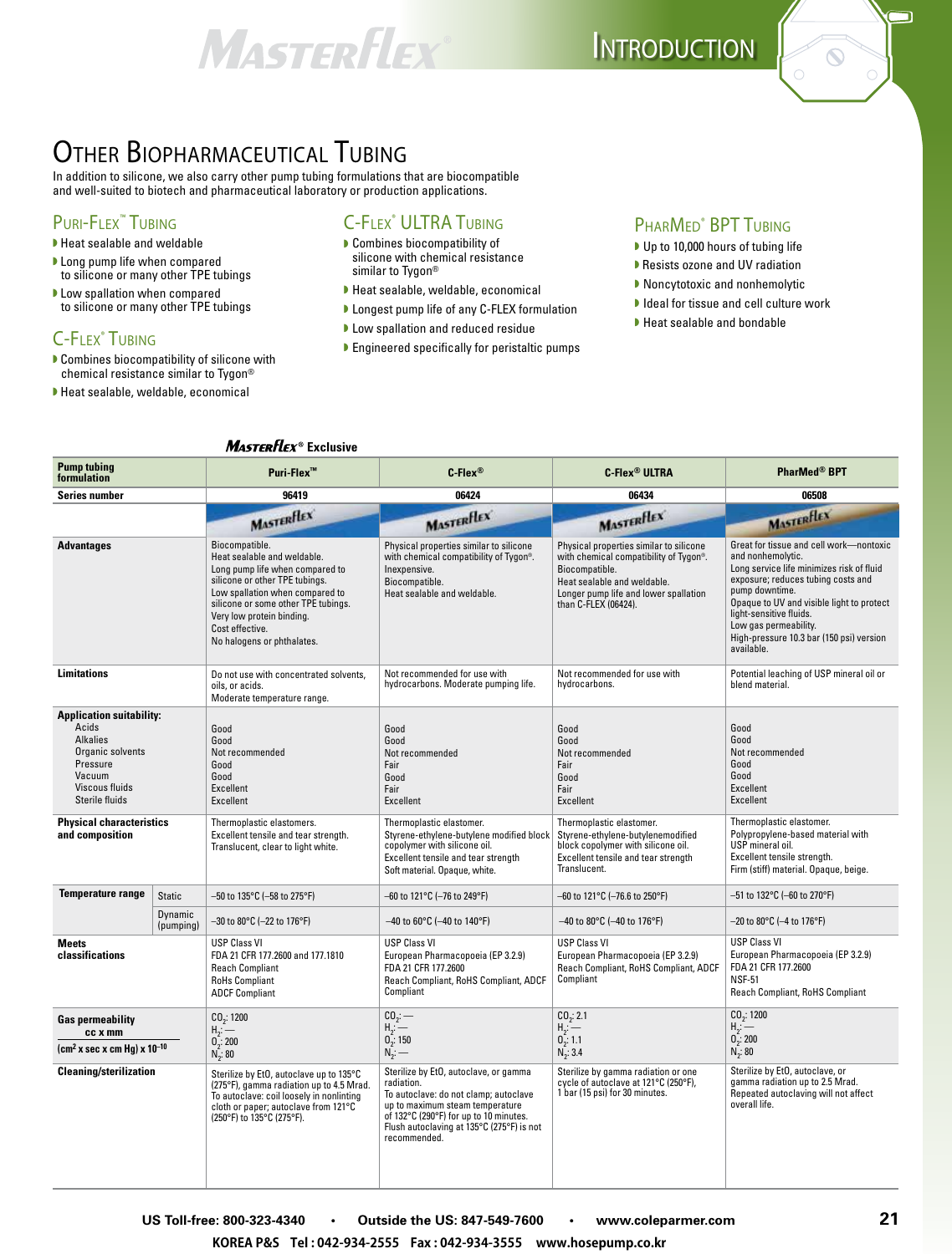## MASTERFLEX



### Other Biopharmaceutical Tubing

In addition to silicone, we also carry other pump tubing formulations that are biocompatible and well-suited to biotech and pharmaceutical laboratory or production applications.

#### PURI-FLEX<sup>™</sup> TUBING

- w Heat sealable and weldable
- I Long pump life when compared to silicone or many other TPE tubings
- Low spallation when compared to silicone or many other TPE tubings

#### C-Flex® Tubing

- $\blacktriangleright$  Combines biocompatibility of silicone with chemical resistance similar to Tygon®
- $\blacktriangleright$  Heat sealable, weldable, economical

### C-Flex® ULTRA Tubing

- **Combines biocompatibility of** silicone with chemical resistance similar to Tygon®
- Heat sealable, weldable, economical
- **D** Longest pump life of any C-FLEX formulation
- **D** Low spallation and reduced residue
- $\blacktriangleright$  Engineered specifically for peristaltic pumps

#### PHARMED<sup>®</sup> BPT TUBING

- Up to 10,000 hours of tubing life
- w Resists ozone and UV radiation
- ▶ Noncytotoxic and nonhemolytic
- $\blacktriangleright$  Ideal for tissue and cell culture work
- $\blacktriangleright$  Heat sealable and bondable

#### **MASTERFLEX<sup>®</sup>** Exclusive

| <b>Pump tubing</b><br>formulation                                                                                                         |                      | Puri-Flex <sup>™</sup>                                                                                                                                                                                                                                                     | $C$ -Flex®                                                                                                                                                                                                                             | <b>C-Flex<sup>®</sup> ULTRA</b>                                                                                                                                                                     | <b>PharMed® BPT</b>                                                                                                                                                                                                                                                                                                          |
|-------------------------------------------------------------------------------------------------------------------------------------------|----------------------|----------------------------------------------------------------------------------------------------------------------------------------------------------------------------------------------------------------------------------------------------------------------------|----------------------------------------------------------------------------------------------------------------------------------------------------------------------------------------------------------------------------------------|-----------------------------------------------------------------------------------------------------------------------------------------------------------------------------------------------------|------------------------------------------------------------------------------------------------------------------------------------------------------------------------------------------------------------------------------------------------------------------------------------------------------------------------------|
| Series number                                                                                                                             |                      | 96419                                                                                                                                                                                                                                                                      | 06424                                                                                                                                                                                                                                  | 06434                                                                                                                                                                                               | 06508                                                                                                                                                                                                                                                                                                                        |
|                                                                                                                                           |                      | <b>MASTERFLEX</b>                                                                                                                                                                                                                                                          | MASTERFLEX                                                                                                                                                                                                                             | MASTERFLEX                                                                                                                                                                                          | MASTERFLEX                                                                                                                                                                                                                                                                                                                   |
| <b>Advantages</b>                                                                                                                         |                      | Biocompatible.<br>Heat sealable and weldable.<br>Long pump life when compared to<br>silicone or other TPE tubings.<br>Low spallation when compared to<br>silicone or some other TPE tubings.<br>Very low protein binding.<br>Cost effective.<br>No halogens or phthalates. | Physical properties similar to silicone<br>with chemical compatibility of Tygon®.<br>Inexpensive.<br>Biocompatible.<br>Heat sealable and weldable.                                                                                     | Physical properties similar to silicone<br>with chemical compatibility of Tygon®.<br>Biocompatible.<br>Heat sealable and weldable.<br>Longer pump life and lower spallation<br>than C-FLEX (06424). | Great for tissue and cell work-nontoxic<br>and nonhemolytic.<br>Long service life minimizes risk of fluid<br>exposure; reduces tubing costs and<br>pump downtime.<br>Opaque to UV and visible light to protect<br>light-sensitive fluids.<br>Low gas permeability.<br>High-pressure 10.3 bar (150 psi) version<br>available. |
| <b>Limitations</b>                                                                                                                        |                      | Do not use with concentrated solvents,<br>oils, or acids.<br>Moderate temperature range.                                                                                                                                                                                   | Not recommended for use with<br>hydrocarbons. Moderate pumping life.                                                                                                                                                                   | Not recommended for use with<br>hydrocarbons.                                                                                                                                                       | Potential leaching of USP mineral oil or<br>blend material.                                                                                                                                                                                                                                                                  |
| <b>Application suitability:</b><br>Acids<br><b>Alkalies</b><br>Organic solvents<br>Pressure<br>Vacuum<br>Viscous fluids<br>Sterile fluids |                      | Good<br>Good<br>Not recommended<br>Good<br>Good<br>Excellent<br>Excellent                                                                                                                                                                                                  | Good<br>Good<br>Not recommended<br>Fair<br>Good<br>Fair<br>Excellent                                                                                                                                                                   | Good<br>Good<br>Not recommended<br>Fair<br>Good<br>Fair<br>Excellent                                                                                                                                | Good<br>Good<br>Not recommended<br>Good<br>Good<br>Excellent<br><b>Excellent</b>                                                                                                                                                                                                                                             |
| <b>Physical characteristics</b><br>and composition                                                                                        |                      | Thermoplastic elastomers.<br>Excellent tensile and tear strength.<br>Translucent, clear to light white.                                                                                                                                                                    | Thermoplastic elastomer.<br>Styrene-ethylene-butylene modified block<br>copolymer with silicone oil.<br>Excellent tensile and tear strength<br>Soft material. Opaque, white.                                                           | Thermoplastic elastomer.<br>Styrene-ethylene-butylenemodified<br>block copolymer with silicone oil.<br>Excellent tensile and tear strength<br>Translucent.                                          | Thermoplastic elastomer.<br>Polypropylene-based material with<br>USP mineral oil.<br>Excellent tensile strength.<br>Firm (stiff) material. Opaque, beige.                                                                                                                                                                    |
| <b>Temperature range</b>                                                                                                                  | <b>Static</b>        | –50 to 135°C (–58 to 275°F)                                                                                                                                                                                                                                                | –60 to 121°C (–76 to 249°F)                                                                                                                                                                                                            | –60 to 121°C (–76.6 to 250°F)                                                                                                                                                                       | –51 to 132°C (–60 to 270°F)                                                                                                                                                                                                                                                                                                  |
|                                                                                                                                           | Dynamic<br>(pumping) | $-30$ to 80°C (-22 to 176°F)                                                                                                                                                                                                                                               | $-40$ to 60°C (-40 to 140°F)                                                                                                                                                                                                           | $-40$ to 80°C (-40 to 176°F)                                                                                                                                                                        | -20 to 80°C (-4 to 176°F)                                                                                                                                                                                                                                                                                                    |
| <b>Meets</b><br>classifications                                                                                                           |                      | <b>USP Class VI</b><br>FDA 21 CFR 177.2600 and 177.1810<br><b>Reach Compliant</b><br><b>RoHs Compliant</b><br><b>ADCF Compliant</b>                                                                                                                                        | <b>USP Class VI</b><br>European Pharmacopoeia (EP 3.2.9)<br>FDA 21 CFR 177.2600<br>Reach Compliant, RoHS Compliant, ADCF<br>Compliant                                                                                                  | <b>USP Class VI</b><br>European Pharmacopoeia (EP 3.2.9)<br>Reach Compliant, RoHS Compliant, ADCF<br>Compliant                                                                                      | <b>USP Class VI</b><br>European Pharmacopoeia (EP 3.2.9)<br>FDA 21 CFR 177.2600<br><b>NSF-51</b><br>Reach Compliant, RoHS Compliant                                                                                                                                                                                          |
| <b>Gas permeability</b><br>cc x mm<br>(cm <sup>2</sup> x sec x cm Hg) x 10 <sup>–10</sup>                                                 |                      | CO <sub>2</sub> : 1200<br>$H_2$ :<br>0, 200<br>$N_{2}$ : 80                                                                                                                                                                                                                | CO <sub>2</sub> :<br>$H_2$ :<br>$0$ <sub>2</sub> : 150<br>$N_{2}$ : —                                                                                                                                                                  | CO <sub>2</sub> : 2.1<br>$H_2 -$<br>0, 1.1<br>$N_2$ : 3.4                                                                                                                                           | CO <sub>2</sub> : 1200<br>$H_j$ : $-$<br>$0\frac{1}{2}$ : 200<br>$N_2$ : 80                                                                                                                                                                                                                                                  |
| <b>Cleaning/sterilization</b>                                                                                                             |                      | Sterilize by EtO, autoclave up to 135°C<br>(275°F), gamma radiation up to 4.5 Mrad.<br>To autoclave: coil loosely in nonlinting<br>cloth or paper; autoclave from 121°C<br>(250°F) to 135°C (275°F).                                                                       | Sterilize by EtO, autoclave, or gamma<br>radiation.<br>To autoclave: do not clamp; autoclave<br>up to maximum steam temperature<br>of 132°C (290°F) for up to 10 minutes.<br>Flush autoclaving at 135°C (275°F) is not<br>recommended. | Sterilize by gamma radiation or one<br>cycle of autoclave at 121°C (250°F),<br>1 bar (15 psi) for 30 minutes.                                                                                       | Sterilize by EtO, autoclave, or<br>gamma radiation up to 2.5 Mrad.<br>Repeated autoclaving will not affect<br>overall life.                                                                                                                                                                                                  |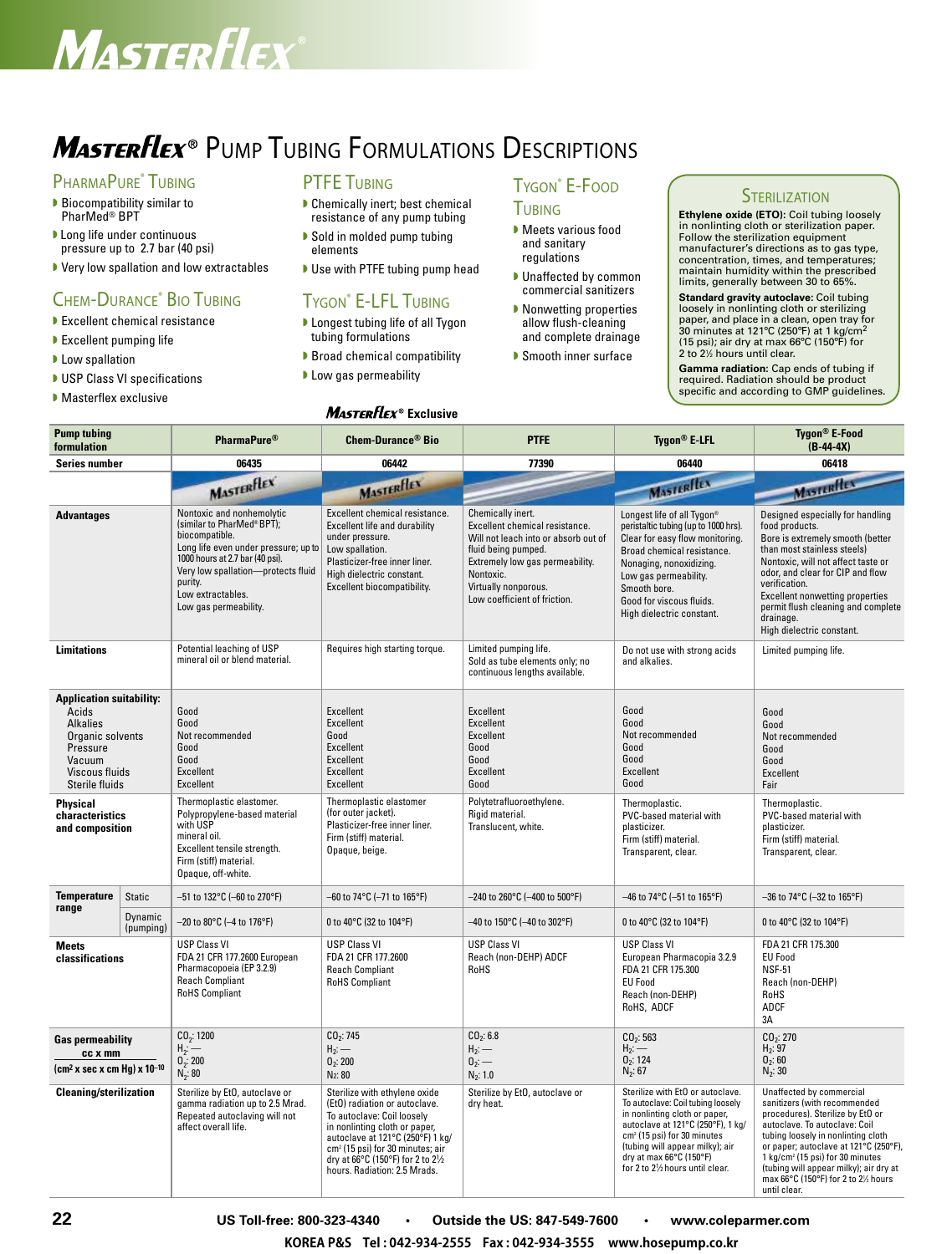## Masterflex

## **MasterFlex**® Pump Tubing Formulations Descriptions

#### PHARMAPURE<sup>®</sup> TUBING

- $\blacktriangleright$  Biocompatibility similar to PharMed® BPT
- **D** Long life under continuous pressure up to 2.7 bar (40 psi)
- Very low spallation and low extractables

#### Chem-Durance® Bio Tubing

- $\blacktriangleright$  Excellent chemical resistance
- $\blacktriangleright$  Excellent pumping life
- $\blacktriangleright$  Low spallation
- USP Class VI specifications
- **Masterflex exclusive**

#### **PTFE TUBING**

- $\blacktriangleright$  Chemically inert; best chemical resistance of any pump tubing
- ▶ Sold in molded pump tubing elements
- Use with PTFE tubing pump head

#### Tygon® E-LFL Tubing

**D** Longest tubing life of all Tygon tubing formulations

**MASTERFLEX<sup>®</sup>** Exclusive

- ▶ Broad chemical compatibility
- **Low gas permeability**

#### TYGON<sup>®</sup> E-FOOD **TUBING**

- **Meets various food** and sanitary regulations
- **D** Unaffected by common commercial sanitizers
- $\blacktriangleright$  Nonwetting properties allow flush-cleaning and complete drainage
- **Smooth inner surface**

#### **STERILIZATION**

**Ethylene oxide (ETO):** Coil tubing loosely in nonlinting cloth or sterilization paper. Follow the sterilization equipment manufacturer's directions as to gas type, concentration, times, and temperatures; maintain humidity within the prescribed limits, generally between 30 to 65%.

**Standard gravity autoclave:** Coil tubing loosely in nonlinting cloth or sterilizing<br>paper, and place in a clean, open tray for<br>30 minutes at 121°C (250°F) at 1 kg/cm<sup>2</sup> (15 psi); air dry at max 66ºC (150ºF) for 2 to 2<sup>1/2</sup> hours until clear.

**Gamma radiation:** Cap ends of tubing if required. Radiation should be product specific and according to GMP guidelines.

| <b>Pump tubing</b><br>formulation                                                                                                         |                      | <b>PharmaPure<sup>®</sup></b>                                                                                                                                                                                                                      | <b>Chem-Durance<sup>®</sup> Bio</b>                                                                                                                                                                                                                                                    | <b>PTFE</b>                                                                                                                                                                                                                | Tygon <sup>®</sup> E-LFL                                                                                                                                                                                                                                                                 | Tygon <sup>®</sup> E-Food<br>$(B-44-4X)$                                                                                                                                                                                                                                                                                                                     |
|-------------------------------------------------------------------------------------------------------------------------------------------|----------------------|----------------------------------------------------------------------------------------------------------------------------------------------------------------------------------------------------------------------------------------------------|----------------------------------------------------------------------------------------------------------------------------------------------------------------------------------------------------------------------------------------------------------------------------------------|----------------------------------------------------------------------------------------------------------------------------------------------------------------------------------------------------------------------------|------------------------------------------------------------------------------------------------------------------------------------------------------------------------------------------------------------------------------------------------------------------------------------------|--------------------------------------------------------------------------------------------------------------------------------------------------------------------------------------------------------------------------------------------------------------------------------------------------------------------------------------------------------------|
| <b>Series number</b>                                                                                                                      |                      | 06435                                                                                                                                                                                                                                              | 06442                                                                                                                                                                                                                                                                                  | 77390                                                                                                                                                                                                                      | 06440                                                                                                                                                                                                                                                                                    | 06418                                                                                                                                                                                                                                                                                                                                                        |
|                                                                                                                                           |                      | <b>MASTERFLEX</b>                                                                                                                                                                                                                                  | MASTERFIEV                                                                                                                                                                                                                                                                             |                                                                                                                                                                                                                            | MASTERILEX                                                                                                                                                                                                                                                                               | Masterflex                                                                                                                                                                                                                                                                                                                                                   |
| <b>Advantages</b>                                                                                                                         |                      | Nontoxic and nonhemolytic<br>(similar to PharMed®BPT);<br>biocompatible.<br>Long life even under pressure; up to<br>1000 hours at 2.7 bar (40 psi).<br>Very low spallation-protects fluid<br>purity.<br>Low extractables.<br>Low gas permeability. | Excellent chemical resistance.<br>Excellent life and durability<br>under pressure.<br>Low spallation.<br>Plasticizer-free inner liner.<br>High dielectric constant.<br>Excellent biocompatibility.                                                                                     | Chemically inert.<br>Excellent chemical resistance.<br>Will not leach into or absorb out of<br>fluid being pumped.<br>Extremely low gas permeability.<br>Nontoxic.<br>Virtually nonporous.<br>Low coefficient of friction. | Longest life of all Tygon®<br>peristaltic tubing (up to 1000 hrs).<br>Clear for easy flow monitoring.<br>Broad chemical resistance.<br>Nonaging, nonoxidizing.<br>Low gas permeability.<br>Smooth bore.<br>Good for viscous fluids.<br>High dielectric constant.                         | Designed especially for handling<br>food products.<br>Bore is extremely smooth (better<br>than most stainless steels)<br>Nontoxic, will not affect taste or<br>odor, and clear for CIP and flow<br>verification.<br>Excellent nonwetting properties<br>permit flush cleaning and complete<br>drainage.<br>High dielectric constant.                          |
| <b>Limitations</b>                                                                                                                        |                      | Potential leaching of USP<br>mineral oil or blend material.                                                                                                                                                                                        | Requires high starting torque.                                                                                                                                                                                                                                                         | Limited pumping life.<br>Sold as tube elements only; no<br>continuous lengths available.                                                                                                                                   | Do not use with strong acids<br>and alkalies.                                                                                                                                                                                                                                            | Limited pumping life.                                                                                                                                                                                                                                                                                                                                        |
| <b>Application suitability:</b><br>Acids<br><b>Alkalies</b><br>Organic solvents<br>Pressure<br>Vacuum<br>Viscous fluids<br>Sterile fluids |                      | Good<br>Good<br>Not recommended<br>Good<br>Good<br>Excellent<br>Excellent                                                                                                                                                                          | <b>Excellent</b><br><b>Excellent</b><br>Good<br>Excellent<br><b>Excellent</b><br><b>Excellent</b><br><b>Excellent</b>                                                                                                                                                                  | <b>Excellent</b><br>Excellent<br><b>Excellent</b><br>Good<br>Good<br><b>Excellent</b><br>Good                                                                                                                              | Good<br>Good<br>Not recommended<br>Good<br>Good<br><b>Excellent</b><br>Good                                                                                                                                                                                                              | Good<br>Good<br>Not recommended<br>Good<br>Good<br>Excellent<br>Fair                                                                                                                                                                                                                                                                                         |
| Physical<br>characteristics<br>and composition                                                                                            |                      | Thermoplastic elastomer.<br>Polypropylene-based material<br>with USP<br>mineral oil.<br>Excellent tensile strength.<br>Firm (stiff) material.<br>Opaque, off-white.                                                                                | Thermoplastic elastomer<br>(for outer jacket).<br>Plasticizer-free inner liner.<br>Firm (stiff) material.<br>Opaque, beige.                                                                                                                                                            | Polytetrafluoroethylene.<br>Rigid material.<br>Translucent, white.                                                                                                                                                         | Thermoplastic.<br>PVC-based material with<br>plasticizer.<br>Firm (stiff) material.<br>Transparent, clear.                                                                                                                                                                               | Thermoplastic.<br>PVC-based material with<br>plasticizer.<br>Firm (stiff) material.<br>Transparent, clear.                                                                                                                                                                                                                                                   |
| <b>Temperature</b><br>range                                                                                                               | <b>Static</b>        | $-51$ to 132°C (-60 to 270°F)                                                                                                                                                                                                                      | $-60$ to 74°C (-71 to 165°F)                                                                                                                                                                                                                                                           | $-240$ to 260°C (-400 to 500°F)                                                                                                                                                                                            | $-46$ to 74°C (-51 to 165°F)                                                                                                                                                                                                                                                             | $-36$ to 74°C (-32 to 165°F)                                                                                                                                                                                                                                                                                                                                 |
|                                                                                                                                           | Dynamic<br>(pumping) | $-20$ to 80°C (-4 to 176°F)                                                                                                                                                                                                                        | 0 to 40°C (32 to 104°F)                                                                                                                                                                                                                                                                | -40 to 150°C (-40 to 302°F)                                                                                                                                                                                                | 0 to 40°C (32 to 104°F)                                                                                                                                                                                                                                                                  | 0 to 40°C (32 to 104°F)                                                                                                                                                                                                                                                                                                                                      |
| <b>Meets</b><br>classifications                                                                                                           |                      | <b>USP Class VI</b><br>FDA 21 CFR 177.2600 European<br>Pharmacopoeia (EP 3.2.9)<br><b>Reach Compliant</b><br><b>RoHS Compliant</b>                                                                                                                 | <b>USP Class VI</b><br>FDA 21 CFR 177.2600<br><b>Reach Compliant</b><br><b>RoHS Compliant</b>                                                                                                                                                                                          | <b>USP Class VI</b><br>Reach (non-DEHP) ADCF<br>RoHS                                                                                                                                                                       | <b>USP Class VI</b><br>European Pharmacopia 3.2.9<br>FDA 21 CFR 175.300<br><b>EU Food</b><br>Reach (non-DEHP)<br>RoHS, ADCF                                                                                                                                                              | FDA 21 CFR 175.300<br><b>EU Food</b><br><b>NSF-51</b><br>Reach (non-DEHP)<br>RoHS<br>ADCF<br>3A                                                                                                                                                                                                                                                              |
| <b>Gas permeability</b><br>cc x mm<br>$(cm2 x sec x cm Hg) x 10-10$                                                                       |                      | $CO_2$ : 1200<br>$H_2$ –<br>$0^{2}_{2}$ : 200<br>$N_2$ : 80                                                                                                                                                                                        | CO <sub>2</sub> : 745<br>$H_2$ : —<br>0 <sub>2</sub> : 200<br>N <sub>2</sub> : 80                                                                                                                                                                                                      | CO <sub>2</sub> : 6.8<br>$H_2:$ —<br>$0_2$ : —<br>$N_2$ : 1.0                                                                                                                                                              | CO <sub>2</sub> : 563<br>$H_2:$ —<br>0 <sub>2</sub> : 124<br>$N_2: 67$                                                                                                                                                                                                                   | CO <sub>2</sub> : 270<br>$H_2: 97$<br>0 <sub>2</sub> : 60<br>$N_2:30$                                                                                                                                                                                                                                                                                        |
| <b>Cleaning/sterilization</b>                                                                                                             |                      | Sterilize by EtO, autoclave or<br>gamma radiation up to 2.5 Mrad.<br>Repeated autoclaving will not<br>affect overall life.                                                                                                                         | Sterilize with ethylene oxide<br>(EtO) radiation or autoclave.<br>To autoclave: Coil looselv<br>in nonlinting cloth or paper,<br>autoclave at 121°C (250°F) 1 kg/<br>cm <sup>2</sup> (15 psi) for 30 minutes; air<br>dry at 66°C (150°F) for 2 to 21⁄2<br>hours. Radiation: 2.5 Mrads. | Sterilize by EtO, autoclave or<br>dry heat.                                                                                                                                                                                | Sterilize with EtO or autoclave.<br>To autoclave: Coil tubing loosely<br>in nonlinting cloth or paper,<br>autoclave at 121°C (250°F), 1 kg/<br>cm <sup>2</sup> (15 psi) for 30 minutes<br>(tubing will appear milky); air<br>dry at max 66°C (150°F)<br>for 2 to 21/2 hours until clear. | Unaffected by commercial<br>sanitizers (with recommended<br>procedures). Sterilize by EtO or<br>autoclave. To autoclave: Coil<br>tubing loosely in nonlinting cloth<br>or paper; autoclave at 121°C (250°F),<br>1 kg/cm <sup>2</sup> (15 psi) for 30 minutes<br>(tubing will appear milky); air dry at<br>max 66°C (150°F) for 2 to 2½ hours<br>until clear. |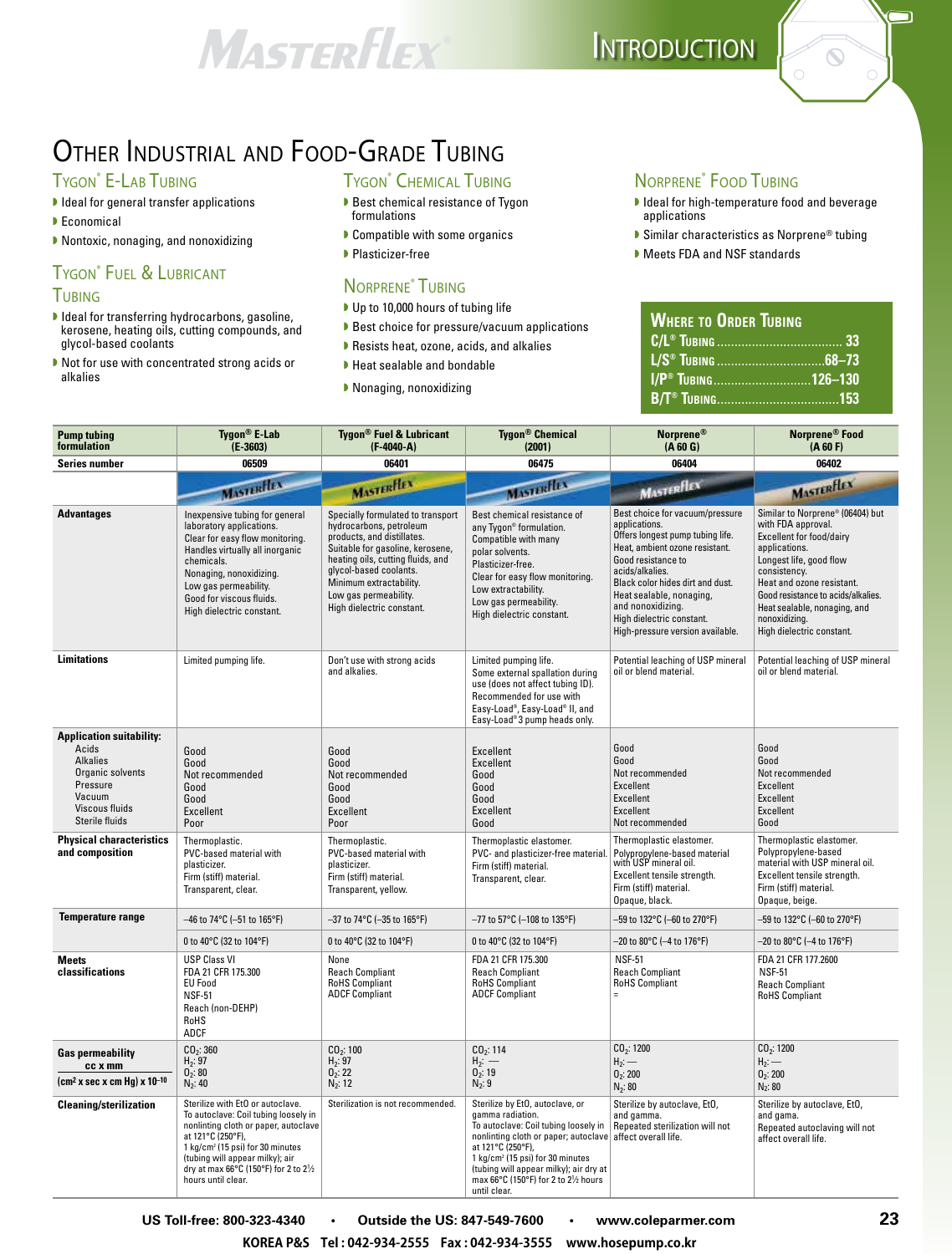## MASTERFLEX

## OTHER INDUSTRIAL AND FOOD-GRADE TUBING

#### TYGON<sup>®</sup> E-LAB TUBING

- $\blacktriangleright$  Ideal for general transfer applications
- $\blacktriangleright$  Economical
- ▶ Nontoxic, nonaging, and nonoxidizing

#### **TYGON<sup>®</sup>** FUEL & LUBRICANT **TUBING**

- $\blacktriangleright$  Ideal for transferring hydrocarbons, gasoline, kerosene, heating oils, cutting compounds, and glycol-based coolants
- $\blacktriangleright$  Not for use with concentrated strong acids or alkalies

#### TYGON<sup>®</sup> CHEMICAL TUBING

- Best chemical resistance of Tygon formulations
- $\blacktriangleright$  Compatible with some organics
- ▶ Plasticizer-free

#### Norprene® Tubing

- Up to 10,000 hours of tubing life
- ▶ Best choice for pressure/vacuum applications
- $\blacktriangleright$  Resists heat, ozone, acids, and alkalies
- $\blacktriangleright$  Heat sealable and bondable
- $\blacktriangleright$  Nonaging, nonoxidizing

#### Norprene® Food Tubing

I Ideal for high-temperature food and beverage applications

 $\Box$ 

 $\odot$ 

- ▶ Similar characteristics as Norprene® tubing
- Meets FDA and NSF standards

| <b>WHERE TO ORDER TUBING</b>         |  |
|--------------------------------------|--|
|                                      |  |
|                                      |  |
| <b>I/P<sup>®</sup> TUBING126-130</b> |  |
|                                      |  |

| <b>Pump tubing</b><br>formulation                                                                                                         | Tygon <sup>®</sup> E-Lab<br>$(E - 3603)$                                                                                                                                                                                                                                                | <b>Tygon<sup>®</sup> Fuel &amp; Lubricant</b><br>$(F-4040-A)$                                                                                                                                                                                                                  | <b>Tygon<sup>®</sup> Chemical</b><br>(2001)                                                                                                                                                                                                                                                                | Norprene®<br>(A 60 G)                                                                                                                                                                                                                                                                                                 | Norprene <sup>®</sup> Food<br>(A 60 F)                                                                                                                                                                                                                                                                 |
|-------------------------------------------------------------------------------------------------------------------------------------------|-----------------------------------------------------------------------------------------------------------------------------------------------------------------------------------------------------------------------------------------------------------------------------------------|--------------------------------------------------------------------------------------------------------------------------------------------------------------------------------------------------------------------------------------------------------------------------------|------------------------------------------------------------------------------------------------------------------------------------------------------------------------------------------------------------------------------------------------------------------------------------------------------------|-----------------------------------------------------------------------------------------------------------------------------------------------------------------------------------------------------------------------------------------------------------------------------------------------------------------------|--------------------------------------------------------------------------------------------------------------------------------------------------------------------------------------------------------------------------------------------------------------------------------------------------------|
| Series number                                                                                                                             | 06509                                                                                                                                                                                                                                                                                   | 06401                                                                                                                                                                                                                                                                          | 06475                                                                                                                                                                                                                                                                                                      | 06404                                                                                                                                                                                                                                                                                                                 | 06402                                                                                                                                                                                                                                                                                                  |
|                                                                                                                                           | <b>MASTERFIELD</b>                                                                                                                                                                                                                                                                      | <b>MASTERFLEX</b>                                                                                                                                                                                                                                                              | <b>MASTERFLEX</b>                                                                                                                                                                                                                                                                                          | MASTERFIEX                                                                                                                                                                                                                                                                                                            | MASTERFLEX                                                                                                                                                                                                                                                                                             |
| <b>Advantages</b>                                                                                                                         | Inexpensive tubing for general<br>laboratory applications.<br>Clear for easy flow monitoring.<br>Handles virtually all inorganic<br>chemicals.<br>Nonaging, nonoxidizing.<br>Low gas permeability.<br>Good for viscous fluids.<br>High dielectric constant.                             | Specially formulated to transport<br>hydrocarbons, petroleum<br>products, and distillates.<br>Suitable for gasoline, kerosene,<br>heating oils, cutting fluids, and<br>glycol-based coolants.<br>Minimum extractability.<br>Low gas permeability.<br>High dielectric constant. | Best chemical resistance of<br>any Tygon® formulation.<br>Compatible with many<br>polar solvents.<br>Plasticizer-free.<br>Clear for easy flow monitoring.<br>Low extractability.<br>Low gas permeability.<br>High dielectric constant.                                                                     | Best choice for vacuum/pressure<br>applications.<br>Offers longest pump tubing life.<br>Heat, ambient ozone resistant.<br>Good resistance to<br>acids/alkalies.<br>Black color hides dirt and dust.<br>Heat sealable, nonaging,<br>and nonoxidizing.<br>High dielectric constant.<br>High-pressure version available. | Similar to Norprene® (06404) but<br>with FDA approval.<br><b>Excellent for food/dairy</b><br>applications.<br>Longest life, good flow<br>consistency.<br>Heat and ozone resistant.<br>Good resistance to acids/alkalies.<br>Heat sealable, nonaging, and<br>nonoxidizing.<br>High dielectric constant. |
| <b>Limitations</b>                                                                                                                        | Limited pumping life.                                                                                                                                                                                                                                                                   | Don't use with strong acids<br>and alkalies.                                                                                                                                                                                                                                   | Limited pumping life.<br>Some external spallation during<br>use (does not affect tubing ID).<br>Recommended for use with<br>Easy-Load®, Easy-Load® II, and<br>Easy-Load®3 pump heads only.                                                                                                                 | Potential leaching of USP mineral<br>oil or blend material.                                                                                                                                                                                                                                                           | Potential leaching of USP mineral<br>oil or blend material.                                                                                                                                                                                                                                            |
| <b>Application suitability:</b><br>Acids<br><b>Alkalies</b><br>Organic solvents<br>Pressure<br>Vacuum<br>Viscous fluids<br>Sterile fluids | Good<br>Good<br>Not recommended<br>Good<br>Good<br>Excellent<br>Poor                                                                                                                                                                                                                    | Good<br>Good<br>Not recommended<br>Good<br>Good<br><b>Excellent</b><br>Poor                                                                                                                                                                                                    | <b>Excellent</b><br><b>Excellent</b><br>Good<br>Good<br>Good<br>Excellent<br>Good                                                                                                                                                                                                                          | Good<br>Good<br>Not recommended<br>Excellent<br>Excellent<br>Excellent<br>Not recommended                                                                                                                                                                                                                             | Good<br>Good<br>Not recommended<br>Excellent<br>Excellent<br>Excellent<br>Good                                                                                                                                                                                                                         |
| <b>Physical characteristics</b><br>and composition                                                                                        | Thermoplastic.<br>PVC-based material with<br>plasticizer.<br>Firm (stiff) material.<br>Transparent, clear.                                                                                                                                                                              | Thermoplastic.<br>PVC-based material with<br>plasticizer.<br>Firm (stiff) material.<br>Transparent, yellow.                                                                                                                                                                    | Thermoplastic elastomer.<br>PVC- and plasticizer-free material.<br>Firm (stiff) material.<br>Transparent, clear.                                                                                                                                                                                           | Thermoplastic elastomer.<br>Polypropylene-based material<br>with USP mineral oil.<br>Excellent tensile strength.<br>Firm (stiff) material.<br>Opaque, black.                                                                                                                                                          | Thermoplastic elastomer.<br>Polypropylene-based<br>material with USP mineral oil.<br>Excellent tensile strength.<br>Firm (stiff) material.<br>Opaque, beige.                                                                                                                                           |
| <b>Temperature range</b>                                                                                                                  | $-46$ to 74°C (-51 to 165°F)                                                                                                                                                                                                                                                            | –37 to 74°C (–35 to 165°F)                                                                                                                                                                                                                                                     | –77 to 57°C (–108 to 135°F)                                                                                                                                                                                                                                                                                | –59 to 132°C (–60 to 270°F)                                                                                                                                                                                                                                                                                           | -59 to 132°C (–60 to 270°F)                                                                                                                                                                                                                                                                            |
|                                                                                                                                           | 0 to 40°C (32 to 104°F)                                                                                                                                                                                                                                                                 | 0 to 40°C (32 to 104°F)                                                                                                                                                                                                                                                        | 0 to 40°C (32 to 104°F)                                                                                                                                                                                                                                                                                    | -20 to 80°C (-4 to 176°F)                                                                                                                                                                                                                                                                                             | –20 to 80°C (–4 to 176°F)                                                                                                                                                                                                                                                                              |
| <b>Meets</b><br>classifications                                                                                                           | <b>USP Class VI</b><br>FDA 21 CFR 175.300<br><b>EU Food</b><br><b>NSF-51</b><br>Reach (non-DEHP)<br>RoHS<br>ADCF                                                                                                                                                                        | None<br><b>Reach Compliant</b><br><b>RoHS Compliant</b><br><b>ADCF Compliant</b>                                                                                                                                                                                               | FDA 21 CFR 175.300<br><b>Reach Compliant</b><br><b>RoHS Compliant</b><br><b>ADCF Compliant</b>                                                                                                                                                                                                             | <b>NSF-51</b><br><b>Reach Compliant</b><br><b>RoHS Compliant</b><br>$=$                                                                                                                                                                                                                                               | FDA 21 CFR 177.2600<br><b>NSF-51</b><br><b>Reach Compliant</b><br><b>RoHS</b> Compliant                                                                                                                                                                                                                |
| <b>Gas permeability</b><br>cc x mm<br>$(cm2 x sec x cm Hg) x 10-10$                                                                       | CO <sub>2</sub> : 360<br>$H_2: 97$<br>0 <sub>2</sub> : 80<br>$N_2$ : 40                                                                                                                                                                                                                 | CO <sub>2</sub> : 100<br>$H_2: 97$<br>0 <sub>2</sub> : 22<br>$N_2$ : 12                                                                                                                                                                                                        | CO <sub>2</sub> : 114<br>$H_2:$ —<br>0 <sub>2</sub> : 19<br>$N_2: 9$                                                                                                                                                                                                                                       | CO <sub>2</sub> : 1200<br>$H_2:$ —<br>0 <sub>2</sub> : 200<br>$N_2$ : 80                                                                                                                                                                                                                                              | CO <sub>2</sub> : 1200<br>$H_2$ : —<br>0 <sub>2</sub> : 200<br>$N_2: 80$                                                                                                                                                                                                                               |
| <b>Cleaning/sterilization</b>                                                                                                             | Sterilize with EtO or autoclave.<br>To autoclave: Coil tubing loosely in<br>nonlinting cloth or paper, autoclave<br>at 121°C (250°F),<br>1 kg/cm <sup>2</sup> (15 psi) for 30 minutes<br>(tubing will appear milky); air<br>dry at max 66°C (150°F) for 2 to 21/2<br>hours until clear. | Sterilization is not recommended.                                                                                                                                                                                                                                              | Sterilize by EtO, autoclave, or<br>gamma radiation.<br>To autoclave: Coil tubing loosely in<br>nonlinting cloth or paper; autoclave<br>at 121°C (250°F),<br>1 kg/cm <sup>2</sup> (15 psi) for 30 minutes<br>(tubing will appear milky); air dry at<br>max 66°C (150°F) for 2 to 21/2 hours<br>until clear. | Sterilize by autoclave, EtO,<br>and gamma.<br>Repeated sterilization will not<br>affect overall life.                                                                                                                                                                                                                 | Sterilize by autoclave, EtO,<br>and gama.<br>Repeated autoclaving will not<br>affect overall life.                                                                                                                                                                                                     |

**US Toll-free: 800-323-4340 • Outside the US: 847-549-7600 • www.coleparmer.com 23**